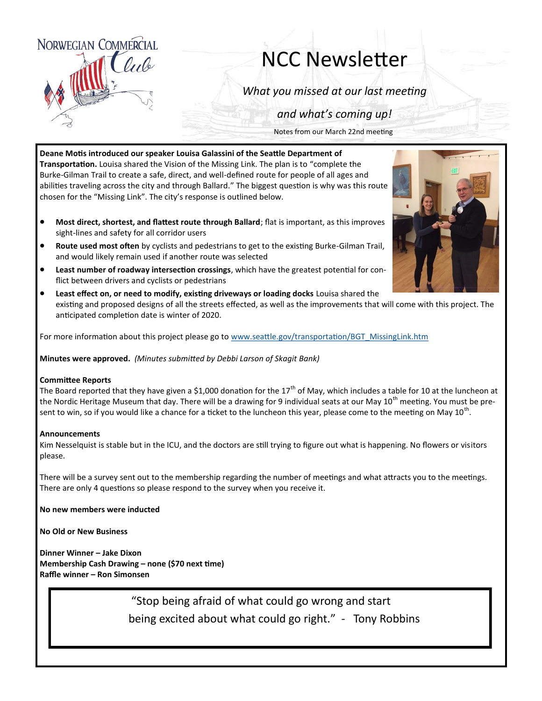

## NCC Newsletter

*What you missed at our last meeting*

*and what's coming up!*

Notes from our March 22nd meeting

**Deane Motis introduced our speaker Louisa Galassini of the Seattle Department of Transportation.** Louisa shared the Vision of the Missing Link. The plan is to "complete the Burke-Gilman Trail to create a safe, direct, and well-defined route for people of all ages and abilities traveling across the city and through Ballard." The biggest question is why was this route chosen for the "Missing Link". The city's response is outlined below.

- **Most direct, shortest, and flattest route through Ballard**; flat is important, as this improves sight-lines and safety for all corridor users
- **Route used most often** by cyclists and pedestrians to get to the existing Burke-Gilman Trail, and would likely remain used if another route was selected
- **Least number of roadway intersection crossings**, which have the greatest potential for conflict between drivers and cyclists or pedestrians
- **Least effect on, or need to modify, existing driveways or loading docks** Louisa shared the existing and proposed designs of all the streets effected, as well as the improvements that will come with this project. The anticipated completion date is winter of 2020.

For more information about this project please go to [www.seattle.gov/transportation/BGT\\_MissingLink.htm](http://www.seattle.gov/transportation/BGT_MissingLink.htm)

**Minutes were approved.** *(Minutes submitted by Debbi Larson of Skagit Bank)*

## **Committee Reports**

The Board reported that they have given a \$1,000 donation for the 17<sup>th</sup> of May, which includes a table for 10 at the luncheon at the Nordic Heritage Museum that day. There will be a drawing for 9 individual seats at our May 10<sup>th</sup> meeting. You must be present to win, so if you would like a chance for a ticket to the luncheon this year, please come to the meeting on May 10<sup>th</sup>.

## **Announcements**

Kim Nesselquist is stable but in the ICU, and the doctors are still trying to figure out what is happening. No flowers or visitors please.

There will be a survey sent out to the membership regarding the number of meetings and what attracts you to the meetings. There are only 4 questions so please respond to the survey when you receive it.

**No new members were inducted**

**No Old or New Business**

**Dinner Winner – Jake Dixon Membership Cash Drawing – none (\$70 next time) Raffle winner – Ron Simonsen**

> "Stop being afraid of what could go wrong and start being excited about what could go right." - Tony Robbins